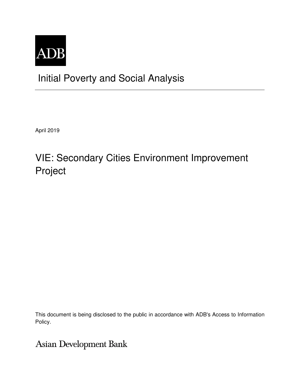

## Initial Poverty and Social Analysis

April 2019

# VIE: Secondary Cities Environment Improvement Project

This document is being disclosed to the public in accordance with ADB's Access to Information Policy.

**Asian Development Bank**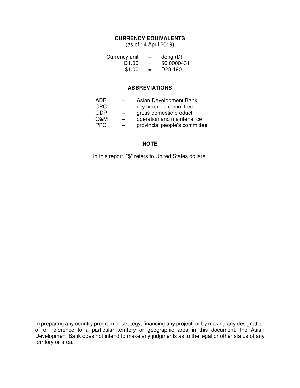## **CURRENCY EQUIVALENTS**

(as of 14 April 2019)

| Currency unit     | $\overline{\phantom{0}}$ | dong $(D)$           |
|-------------------|--------------------------|----------------------|
| D <sub>1.00</sub> | $=$                      | \$0.0000431          |
| \$1.00            | $=$                      | D <sub>23</sub> ,190 |

## **ABBREVIATIONS**

| ADB  |                          | Asian Development Bank        |
|------|--------------------------|-------------------------------|
| CPC  | $\overline{\phantom{0}}$ | city people's committee       |
| GDP  | $\overline{\phantom{0}}$ | gross domestic product        |
| 0&M  | —                        | operation and maintenance     |
| PPC. |                          | provincial people's committee |
|      |                          |                               |

## **NOTE**

In this report, "\$" refers to United States dollars.

In preparing any country program or strategy, financing any project, or by making any designation of or reference to a particular territory or geographic area in this document, the Asian Development Bank does not intend to make any judgments as to the legal or other status of any territory or area.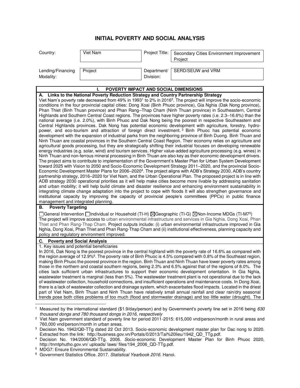## **INITIAL POVERTY AND SOCIAL ANALYSIS**

| Country:                       | Viet Nam | Project Title:           | Secondary Cities Environment Improvement<br>Project |
|--------------------------------|----------|--------------------------|-----------------------------------------------------|
| Lending/Financing<br>Modality: | Project  | Department/<br>Division: | SERD/SEUW and VRM                                   |

#### **I. POVERTY IMPACT AND SOCIAL DIMENSIONS A. Links to the National Poverty Reduction Strategy and Country Partnership Strategy**  Viet Nam's poverty rate decreased from 49% in 1993<sup>1</sup> to 2% in 2016<sup>2</sup>. The project will improve the socio-economic conditions in the four provincial capital cities: Dong Xoai (Binh Phuoc province), Gia Nghia (Dak Nong province), Phan Thiet (Binh Thuan province) and Phan Rang–Thap Cham (Ninh Thuan province) in Southeastern, Central Highlands and Southern Central Coast regions. The provinces have higher poverty rates (i.e. 2.3–16.6%) than the national average (i.e. 2.0%), with Binh Phuoc and Dak Nong being the poorest in respective Southeastern and Central Highlands provinces. Dak Nong has potential economic development with agriculture, forestry, hydropower, and eco-tourism and attraction of foreign direct investment. <sup>3</sup> Binh Phuoc has potential economic development with the expansion of industrial parks from the neighboring province of Binh Duong. Binh Thuan and Ninh Thuan are coastal provinces in the Southern Central Coast Region. Their economy relies on agriculture and agricultural goods processing, but they are strategically shifting their industrial focuses on developing renewable energy industries (e.g. solar, wind) and tourism services. Higher value-added agriculture processing (e.g. wines) in Ninh Thuan and non-ferrous mineral processing in Binh Thuan are also key as their economic development drivers. The project aims to contribute to implementation of the Government's Master Plan for Urban System Development toward 2025 with Vision to 2050 and Socio-Economic Development Strategy 2011–2020, and the provincial Socio-Economic Development Master Plans for 2006–2020<sup>4</sup>. The project aligns with ADB's Strategy 2030, ADB's country partnership strategy, 2016–2020 for Viet Nam, and the Urban Operational Plan. The proposed project is in line with ADB strategy 2030 operational priorities as it will help make cities become more livable by addressing sanitation and urban mobility; it will help build climate and disaster resilience and enhancing environment sustainability in integrating climate change adaptation into the project to cope with floods It will also strengthen governance and institutional capacity by improving the capacity of provincial people's committees (PPCs) in public finance management and integrated planning.

## **B. Poverty Targeting**

General Intervention  $\Box$ Individual or Household (TI-H)  $\boxtimes$ Geographic (TI-G)  $\boxtimes$ Non-Income MDGs (TI-M7<sup>5</sup>) The project will improve access to urban environmental infrastructure and services in Gia Nghia, Dong Xoai, Phan Thiet and Phan Rang-Thap Cham. Project outputs include: (i) urban environmental infrastructure improved in Gia Nghia, Dong Xoai, Phan Thiet and Phan Rang-Thap Cham and (ii) institutional effectiveness, planning capacity and policy and regulatory environment improved.

#### **C. Poverty and Social Analysis**

1. Key issues and potential beneficiaries

In 2016, Dak Nong is the poorest province in the central highland with the poverty rate of 16.6% as compared with the region average of 12.9%<sup>6</sup>. The poverty rate of Binh Phuoc is 4.5% compared with 0.8% of the Southeast region, making Binh Phuoc the poorest province in the region. Binh Thuan and Ninh Thuan have lower poverty rates among those in the northern and coastal southern regions, being 2.3% and 6.5% against that of the regions of 8.0%. The cities lack sufficient urban infrastructures to support their economic development orientation. In Gia Nghia, wastewater treatment is marginal (less than 5%). The wastewater treatment plant is not operational due to the lack of wastewater collection, household connections, and insufficient operations and maintenance costs. In Dong Xoai, there is a lack of wastewater collection and drainage system, which exacerbates flood impacts. Located in the driest part of Viet Nam, Binh Thuan and Ninh Thuan have relatively small annual rainfall and clear rain/dry seasonal trends pose both cities problems of too much (flood and stormwater drainage) and too little water (drought). The

- 5 MDG7: Ensure Environmental Sustainability.
- <sup>6</sup> Government Statistics Office. 2017. Statistical Yearbook 2016. Hanoi.

 $\overline{a}$ 1 Measured by the international standard (\$1.9/day/person) and by Government's poverty line set in 2016 being 630 thousand dongs and 780 thousand dongs in 2016, respectively

<sup>2</sup> Viet Nam government standard of poverty line for period 2011-2015: 615,000 vnd/person/month in rural areas and 760,000 vnd/person/month in urban areas.

<sup>3</sup> Decision No. 1942/QĐ-TTg dated 22 Oct 2013. Socio-economic development master plan for Dac nong to 2020. Extracted from the link: http://business.gov.vn/Portals/0/2013/Tai%20lieu/1942\_QD\_TTg.pdf.

<sup>4</sup> Decision No. 194/2006/QĐ-TTg. 2006. Socio-economic Development Master Plan for Binh Phuoc 2020, http://tnmtphutho.gov.vn/ uploads/ laws/ files/194\_2006\_QD-TTg.pdf.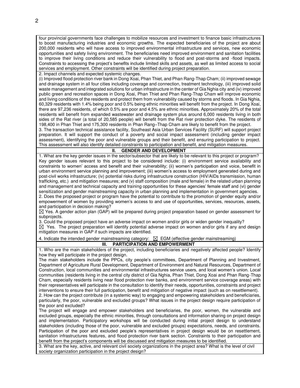four provincial governments face challenges to mobilize resources and investment to finance basic infrastructures to boost manufacturing industries and economic growths. The expected beneficiaries of the project are about 200,000 residents who will have access to improved environmental infrastructure and services, new economic opportunities and safety living environment. The beneficiaries need improved environment and sanitation facilities to improve their living conditions and reduce their vulnerability to flood and post-storms and -flood impacts. Constraints to accessing the project's benefits include limited skills and assets, as well as limited access to social services and employment. Other constraints will be identified during project preparation.

2. Impact channels and expected systemic changes.

(i) Improved flood protection river bank in Dong Xoai, Phan Thiet, and Phan Rang-Thap Cham; (ii) improved sewage and drainage system in all four cities including coverage and connection, treatment technology, (iii) improved solid waste management and integrated solutions for urban infrastructure in the center of Gia Nghia city and (iv) improved public green and recreation spaces in Dong Xoai, Phan Thiet and Phan Rang-Thap Cham will improve economic and living conditions of the residents and protect them from vulnerability caused by storms and floods. In Gia Nghia, 60,329 residents with 1.4% being poor and 0.5% being ethnic minorities will benefit from the project. In Dong Xoai, there are 97,236 residents, of which 0.5% are poor and 4.5% are ethnic minorities. Approximately 20% of the total residents will benefit from expanded wastewater and drainage system plus around 6,000 residents living in both sides of the Rat river (a total of 20,585 people) will benefit from the Rat river protection dyke. The residents of 198,400 in Phan Thiet and 175,300 residents in Phan Rang–Thap Cham are likely to benefit from the project. 3. The transaction technical assistance facility, Southeast Asia Urban Services Facility (SURF) will support project preparation. It will support the conduct of a poverty and social impact assessment (including gender impact assessment), identifying the poor and vulnerable groups and their benefit, and ensuring participation to project. This assessment will also identify detailed constraints to participation and benefit, and mitigation measures.

#### **II. GENDER AND DEVELOPMENT**

1. What are the key gender issues in the sector/subsector that are likely to be relevant to this project or program? Key gender issues relevant to this project to be considered include: (i) environment service availability and constraints to women' access and benefit and their vulnerability; (ii) women's participation and voice, benefit in urban environment service planning and improvement; (iii) women's access to employment generated during and post-civil works infrastructure; (iv) potential risks during infrastructure construction (HIV/AIDs transmission, human trafficking, etc.) and mitigation measures; and (v) staff composition (male and female) in the related urban planning and management and technical capacity and training opportunities for these agencies' female staff and (vi) gender sensitization and gender mainstreaming capacity in urban planning and implementation in government agencies.

2. Does the proposed project or program have the potential to contribute to the promotion of gender equity and/or empowerment of women by providing women's access to and use of opportunities, services, resources, assets, and participation in decision making?

 $\boxtimes$  Yes. A gender action plan (GAP) will be prepared during project preparation based on gender assessment for subprojects.

3. Could the proposed project have an adverse impact on women and/or girls or widen gender inequality?  $\boxtimes$  Yes. The project preparation will identify potential adverse impact on women and/or girls if any and design mitigation measures in GAP if such impacts are identified.

4. Indicate the intended gender mainstreaming category:  $\boxtimes$  EGM (effective gender mainstreaming)

## **III. PARTICIPATION AND EMPOWERMENT**

1. Who are the main stakeholders of the project, including beneficiaries and negatively affected people? Identify how they will participate in the project design.

The main stakeholders include the PPCs, city people's committees, Department of Planning and Investment, Department of Agriculture Rural Development, Department of Environment and Natural Resources, Department of Construction, local communities and environmental infrastructures service users, and local women's union. Local communities (residents living in the central city district of Gia Nghia, Phan Thiet, Dong Xoai and Phan Rang-Thap Cham, especially residents living near flood protection river banks, and environment service coverage areas) with their representatives will participate in the consultation to identify their needs, opportunities, constraints and project interventions to ensure their full participation, benefit and mitigation of negative impact (such as on resettlement).

2. How can the project contribute (in a systemic way) to engaging and empowering stakeholders and beneficiaries, particularly, the poor, vulnerable and excluded groups? What issues in the project design require participation of the poor and excluded?

The project will engage and empower stakeholders and beneficiaries, the poor, women, the vulnerable and excluded groups, especially the ethnic minorities, through consultations and information sharing on project design and implementation. Participatory workshops will be conducted during initial project design to understand stakeholders (including those of the poor, vulnerable and excluded groups) expectations, needs, and constraints. Participation of the poor and excluded people's representatives in project design would be on resettlement, sanitation infrastructures features, and flood protection river bank section. Constraints to their participation and benefit from the project's components will be discussed and mitigation measures to be identified.

3. What are the key, active, and relevant civil society organizations in the project area? What is the level of civil society organization participation in the project design?